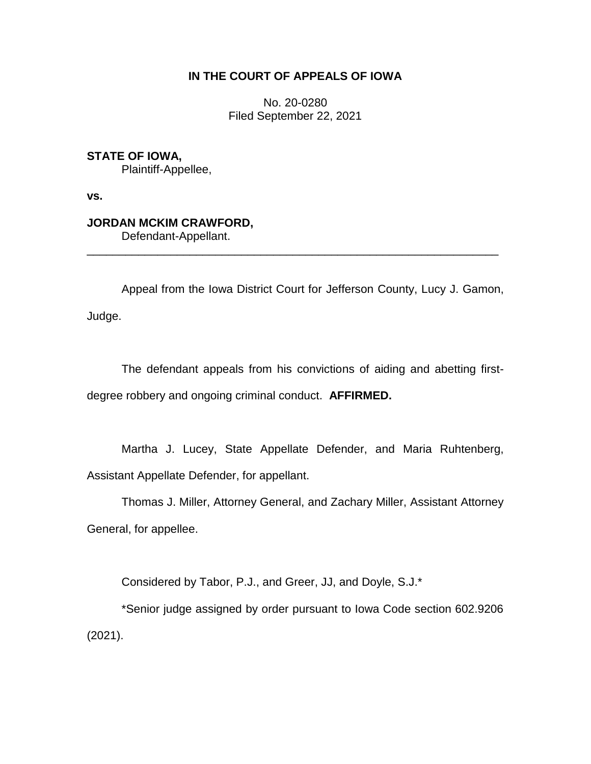# **IN THE COURT OF APPEALS OF IOWA**

No. 20-0280 Filed September 22, 2021

**STATE OF IOWA,** Plaintiff-Appellee,

**vs.**

# **JORDAN MCKIM CRAWFORD,**

Defendant-Appellant.

Appeal from the Iowa District Court for Jefferson County, Lucy J. Gamon, Judge.

\_\_\_\_\_\_\_\_\_\_\_\_\_\_\_\_\_\_\_\_\_\_\_\_\_\_\_\_\_\_\_\_\_\_\_\_\_\_\_\_\_\_\_\_\_\_\_\_\_\_\_\_\_\_\_\_\_\_\_\_\_\_\_\_

The defendant appeals from his convictions of aiding and abetting firstdegree robbery and ongoing criminal conduct. **AFFIRMED.**

Martha J. Lucey, State Appellate Defender, and Maria Ruhtenberg, Assistant Appellate Defender, for appellant.

Thomas J. Miller, Attorney General, and Zachary Miller, Assistant Attorney General, for appellee.

Considered by Tabor, P.J., and Greer, JJ, and Doyle, S.J.\*

\*Senior judge assigned by order pursuant to Iowa Code section 602.9206 (2021).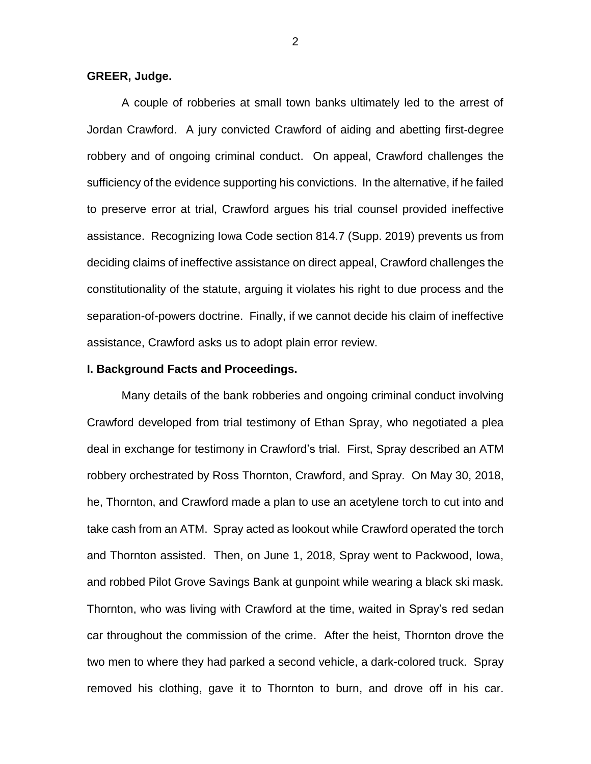# **GREER, Judge.**

A couple of robberies at small town banks ultimately led to the arrest of Jordan Crawford. A jury convicted Crawford of aiding and abetting first-degree robbery and of ongoing criminal conduct. On appeal, Crawford challenges the sufficiency of the evidence supporting his convictions. In the alternative, if he failed to preserve error at trial, Crawford argues his trial counsel provided ineffective assistance. Recognizing Iowa Code section 814.7 (Supp. 2019) prevents us from deciding claims of ineffective assistance on direct appeal, Crawford challenges the constitutionality of the statute, arguing it violates his right to due process and the separation-of-powers doctrine. Finally, if we cannot decide his claim of ineffective assistance, Crawford asks us to adopt plain error review.

# **I. Background Facts and Proceedings.**

Many details of the bank robberies and ongoing criminal conduct involving Crawford developed from trial testimony of Ethan Spray, who negotiated a plea deal in exchange for testimony in Crawford's trial. First, Spray described an ATM robbery orchestrated by Ross Thornton, Crawford, and Spray. On May 30, 2018, he, Thornton, and Crawford made a plan to use an acetylene torch to cut into and take cash from an ATM. Spray acted as lookout while Crawford operated the torch and Thornton assisted. Then, on June 1, 2018, Spray went to Packwood, Iowa, and robbed Pilot Grove Savings Bank at gunpoint while wearing a black ski mask. Thornton, who was living with Crawford at the time, waited in Spray's red sedan car throughout the commission of the crime. After the heist, Thornton drove the two men to where they had parked a second vehicle, a dark-colored truck. Spray removed his clothing, gave it to Thornton to burn, and drove off in his car.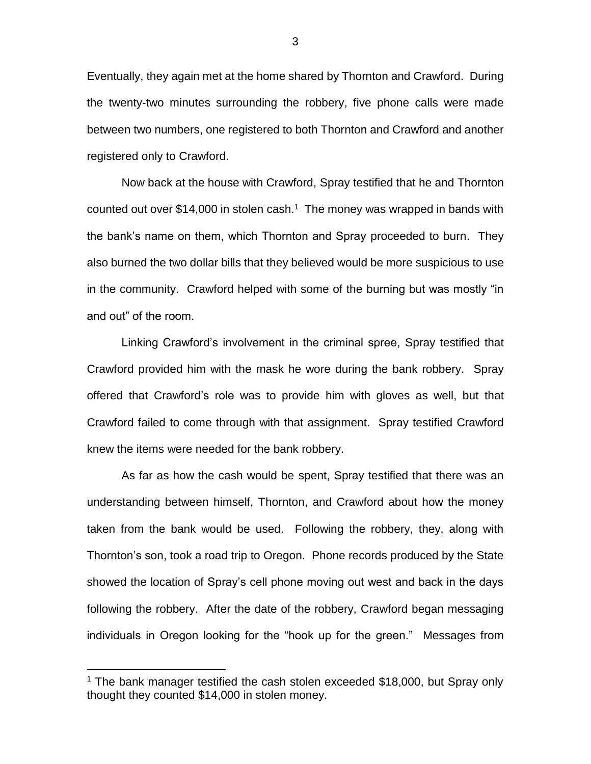Eventually, they again met at the home shared by Thornton and Crawford. During the twenty-two minutes surrounding the robbery, five phone calls were made between two numbers, one registered to both Thornton and Crawford and another registered only to Crawford.

Now back at the house with Crawford, Spray testified that he and Thornton counted out over \$14,000 in stolen cash. <sup>1</sup> The money was wrapped in bands with the bank's name on them, which Thornton and Spray proceeded to burn. They also burned the two dollar bills that they believed would be more suspicious to use in the community. Crawford helped with some of the burning but was mostly "in and out" of the room.

Linking Crawford's involvement in the criminal spree, Spray testified that Crawford provided him with the mask he wore during the bank robbery. Spray offered that Crawford's role was to provide him with gloves as well, but that Crawford failed to come through with that assignment. Spray testified Crawford knew the items were needed for the bank robbery.

As far as how the cash would be spent, Spray testified that there was an understanding between himself, Thornton, and Crawford about how the money taken from the bank would be used. Following the robbery, they, along with Thornton's son, took a road trip to Oregon. Phone records produced by the State showed the location of Spray's cell phone moving out west and back in the days following the robbery. After the date of the robbery, Crawford began messaging individuals in Oregon looking for the "hook up for the green." Messages from

<sup>&</sup>lt;sup>1</sup> The bank manager testified the cash stolen exceeded \$18,000, but Spray only thought they counted \$14,000 in stolen money.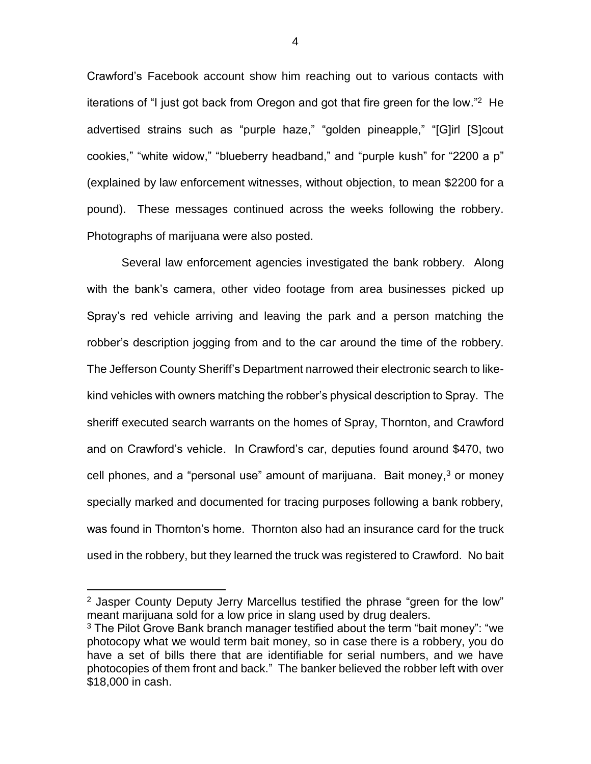Crawford's Facebook account show him reaching out to various contacts with iterations of "I just got back from Oregon and got that fire green for the low." <sup>2</sup> He advertised strains such as "purple haze," "golden pineapple," "[G]irl [S]cout cookies," "white widow," "blueberry headband," and "purple kush" for "2200 a p" (explained by law enforcement witnesses, without objection, to mean \$2200 for a pound). These messages continued across the weeks following the robbery. Photographs of marijuana were also posted.

Several law enforcement agencies investigated the bank robbery. Along with the bank's camera, other video footage from area businesses picked up Spray's red vehicle arriving and leaving the park and a person matching the robber's description jogging from and to the car around the time of the robbery. The Jefferson County Sheriff's Department narrowed their electronic search to likekind vehicles with owners matching the robber's physical description to Spray. The sheriff executed search warrants on the homes of Spray, Thornton, and Crawford and on Crawford's vehicle. In Crawford's car, deputies found around \$470, two cell phones, and a "personal use" amount of marijuana. Bait money, $3$  or money specially marked and documented for tracing purposes following a bank robbery, was found in Thornton's home. Thornton also had an insurance card for the truck used in the robbery, but they learned the truck was registered to Crawford. No bait

 $2$  Jasper County Deputy Jerry Marcellus testified the phrase "green for the low" meant marijuana sold for a low price in slang used by drug dealers.

<sup>&</sup>lt;sup>3</sup> The Pilot Grove Bank branch manager testified about the term "bait money": "we photocopy what we would term bait money, so in case there is a robbery, you do have a set of bills there that are identifiable for serial numbers, and we have photocopies of them front and back." The banker believed the robber left with over \$18,000 in cash.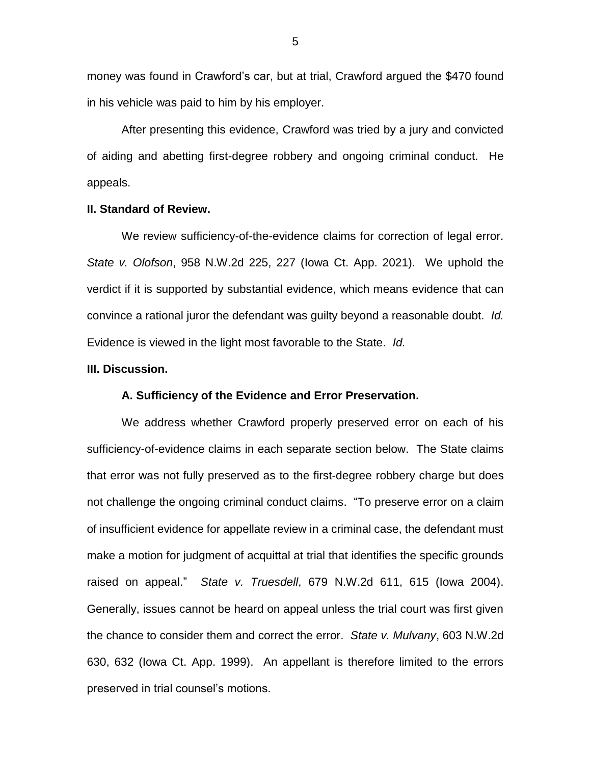money was found in Crawford's car, but at trial, Crawford argued the \$470 found in his vehicle was paid to him by his employer.

After presenting this evidence, Crawford was tried by a jury and convicted of aiding and abetting first-degree robbery and ongoing criminal conduct. He appeals.

### **II. Standard of Review.**

We review sufficiency-of-the-evidence claims for correction of legal error. *State v. Olofson*, 958 N.W.2d 225, 227 (Iowa Ct. App. 2021). We uphold the verdict if it is supported by substantial evidence, which means evidence that can convince a rational juror the defendant was guilty beyond a reasonable doubt. *Id.* Evidence is viewed in the light most favorable to the State. *Id.* 

### **III. Discussion.**

# **A. Sufficiency of the Evidence and Error Preservation.**

We address whether Crawford properly preserved error on each of his sufficiency-of-evidence claims in each separate section below. The State claims that error was not fully preserved as to the first-degree robbery charge but does not challenge the ongoing criminal conduct claims. "To preserve error on a claim of insufficient evidence for appellate review in a criminal case, the defendant must make a motion for judgment of acquittal at trial that identifies the specific grounds raised on appeal." *State v. Truesdell*, 679 N.W.2d 611, 615 (Iowa 2004). Generally, issues cannot be heard on appeal unless the trial court was first given the chance to consider them and correct the error. *State v. Mulvany*, 603 N.W.2d 630, 632 (Iowa Ct. App. 1999). An appellant is therefore limited to the errors preserved in trial counsel's motions.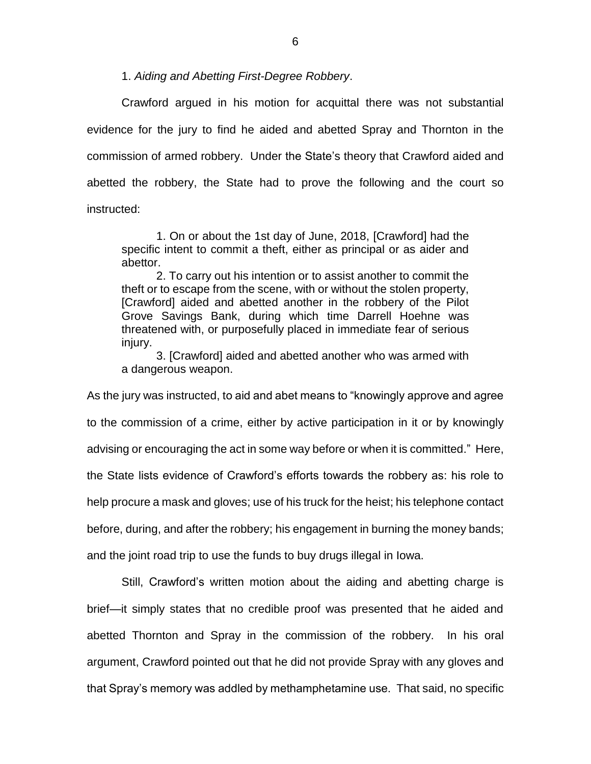1. *Aiding and Abetting First-Degree Robbery*.

Crawford argued in his motion for acquittal there was not substantial evidence for the jury to find he aided and abetted Spray and Thornton in the commission of armed robbery. Under the State's theory that Crawford aided and abetted the robbery, the State had to prove the following and the court so instructed:

1. On or about the 1st day of June, 2018, [Crawford] had the specific intent to commit a theft, either as principal or as aider and abettor.

2. To carry out his intention or to assist another to commit the theft or to escape from the scene, with or without the stolen property, [Crawford] aided and abetted another in the robbery of the Pilot Grove Savings Bank, during which time Darrell Hoehne was threatened with, or purposefully placed in immediate fear of serious injury.

3. [Crawford] aided and abetted another who was armed with a dangerous weapon.

As the jury was instructed, to aid and abet means to "knowingly approve and agree to the commission of a crime, either by active participation in it or by knowingly advising or encouraging the act in some way before or when it is committed." Here, the State lists evidence of Crawford's efforts towards the robbery as: his role to help procure a mask and gloves; use of his truck for the heist; his telephone contact before, during, and after the robbery; his engagement in burning the money bands; and the joint road trip to use the funds to buy drugs illegal in Iowa.

Still, Crawford's written motion about the aiding and abetting charge is brief—it simply states that no credible proof was presented that he aided and abetted Thornton and Spray in the commission of the robbery. In his oral argument, Crawford pointed out that he did not provide Spray with any gloves and that Spray's memory was addled by methamphetamine use. That said, no specific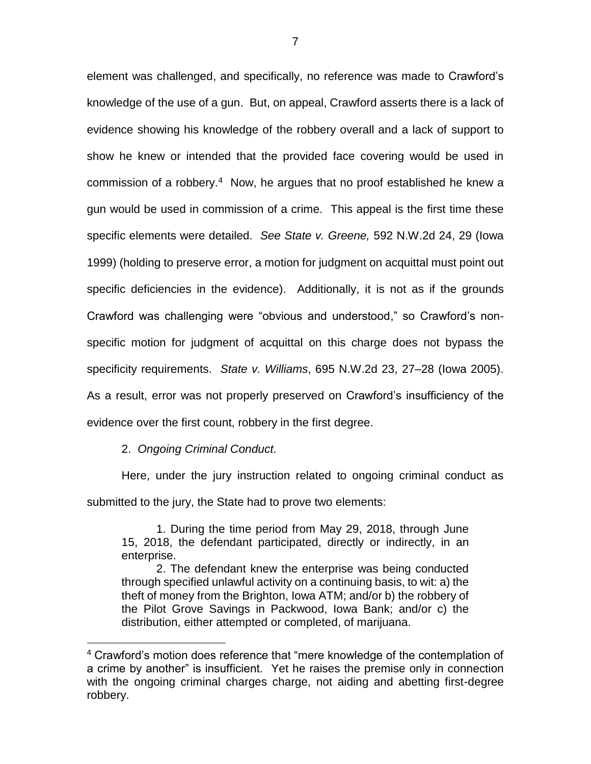element was challenged, and specifically, no reference was made to Crawford's knowledge of the use of a gun. But, on appeal, Crawford asserts there is a lack of evidence showing his knowledge of the robbery overall and a lack of support to show he knew or intended that the provided face covering would be used in commission of a robbery.<sup>4</sup> Now, he argues that no proof established he knew a gun would be used in commission of a crime. This appeal is the first time these specific elements were detailed. *See State v. Greene,* 592 N.W.2d 24, 29 (Iowa 1999) (holding to preserve error, a motion for judgment on acquittal must point out specific deficiencies in the evidence). Additionally, it is not as if the grounds Crawford was challenging were "obvious and understood," so Crawford's nonspecific motion for judgment of acquittal on this charge does not bypass the specificity requirements. *State v. Williams*, 695 N.W.2d 23, 27–28 (Iowa 2005). As a result, error was not properly preserved on Crawford's insufficiency of the

evidence over the first count, robbery in the first degree.

2. *Ongoing Criminal Conduct.*

 $\overline{a}$ 

Here, under the jury instruction related to ongoing criminal conduct as submitted to the jury, the State had to prove two elements:

1. During the time period from May 29, 2018, through June 15, 2018, the defendant participated, directly or indirectly, in an enterprise.

2. The defendant knew the enterprise was being conducted through specified unlawful activity on a continuing basis, to wit: a) the theft of money from the Brighton, Iowa ATM; and/or b) the robbery of the Pilot Grove Savings in Packwood, Iowa Bank; and/or c) the distribution, either attempted or completed, of marijuana.

<sup>&</sup>lt;sup>4</sup> Crawford's motion does reference that "mere knowledge of the contemplation of a crime by another" is insufficient. Yet he raises the premise only in connection with the ongoing criminal charges charge, not aiding and abetting first-degree robbery.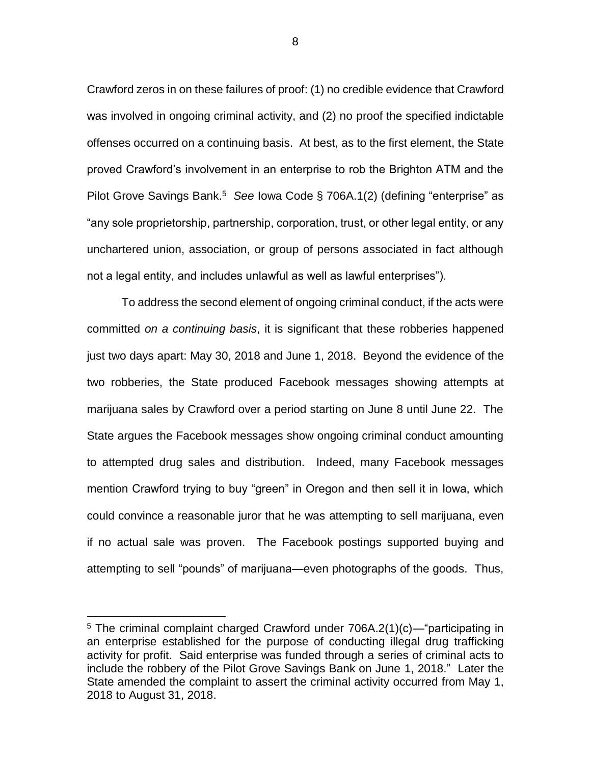Crawford zeros in on these failures of proof: (1) no credible evidence that Crawford was involved in ongoing criminal activity, and (2) no proof the specified indictable offenses occurred on a continuing basis. At best, as to the first element, the State proved Crawford's involvement in an enterprise to rob the Brighton ATM and the Pilot Grove Savings Bank.<sup>5</sup> See Iowa Code § 706A.1(2) (defining "enterprise" as "any sole proprietorship, partnership, corporation, trust, or other legal entity, or any unchartered union, association, or group of persons associated in fact although not a legal entity, and includes unlawful as well as lawful enterprises").

To address the second element of ongoing criminal conduct, if the acts were committed *on a continuing basis*, it is significant that these robberies happened just two days apart: May 30, 2018 and June 1, 2018. Beyond the evidence of the two robberies, the State produced Facebook messages showing attempts at marijuana sales by Crawford over a period starting on June 8 until June 22. The State argues the Facebook messages show ongoing criminal conduct amounting to attempted drug sales and distribution. Indeed, many Facebook messages mention Crawford trying to buy "green" in Oregon and then sell it in Iowa, which could convince a reasonable juror that he was attempting to sell marijuana, even if no actual sale was proven. The Facebook postings supported buying and attempting to sell "pounds" of marijuana—even photographs of the goods. Thus,

 $\overline{a}$ 

8

<sup>5</sup> The criminal complaint charged Crawford under 706A.2(1)(c)—"participating in an enterprise established for the purpose of conducting illegal drug trafficking activity for profit. Said enterprise was funded through a series of criminal acts to include the robbery of the Pilot Grove Savings Bank on June 1, 2018." Later the State amended the complaint to assert the criminal activity occurred from May 1, 2018 to August 31, 2018.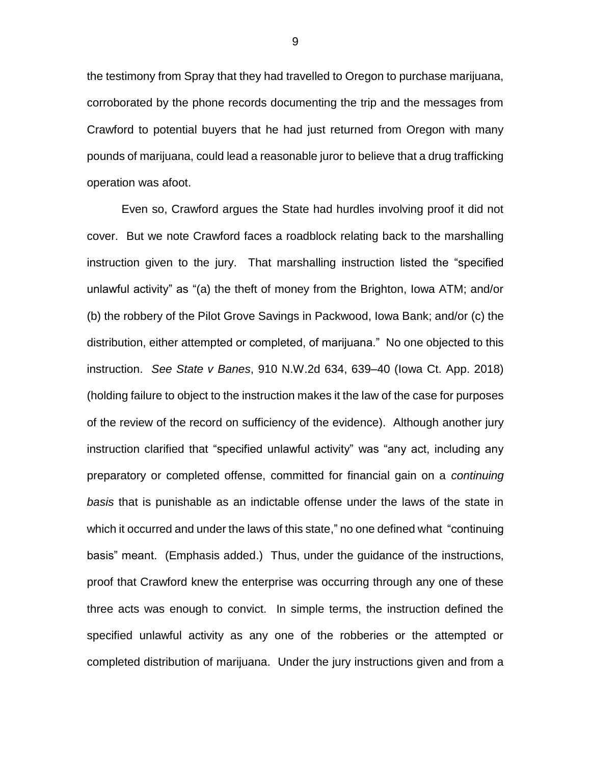the testimony from Spray that they had travelled to Oregon to purchase marijuana, corroborated by the phone records documenting the trip and the messages from Crawford to potential buyers that he had just returned from Oregon with many pounds of marijuana, could lead a reasonable juror to believe that a drug trafficking operation was afoot.

Even so, Crawford argues the State had hurdles involving proof it did not cover. But we note Crawford faces a roadblock relating back to the marshalling instruction given to the jury. That marshalling instruction listed the "specified unlawful activity" as "(a) the theft of money from the Brighton, Iowa ATM; and/or (b) the robbery of the Pilot Grove Savings in Packwood, Iowa Bank; and/or (c) the distribution, either attempted or completed, of marijuana." No one objected to this instruction. *See State v Banes*, 910 N.W.2d 634, 639–40 (Iowa Ct. App. 2018) (holding failure to object to the instruction makes it the law of the case for purposes of the review of the record on sufficiency of the evidence). Although another jury instruction clarified that "specified unlawful activity" was "any act, including any preparatory or completed offense, committed for financial gain on a *continuing basis* that is punishable as an indictable offense under the laws of the state in which it occurred and under the laws of this state," no one defined what "continuing basis" meant. (Emphasis added.) Thus, under the guidance of the instructions, proof that Crawford knew the enterprise was occurring through any one of these three acts was enough to convict. In simple terms, the instruction defined the specified unlawful activity as any one of the robberies or the attempted or completed distribution of marijuana. Under the jury instructions given and from a

9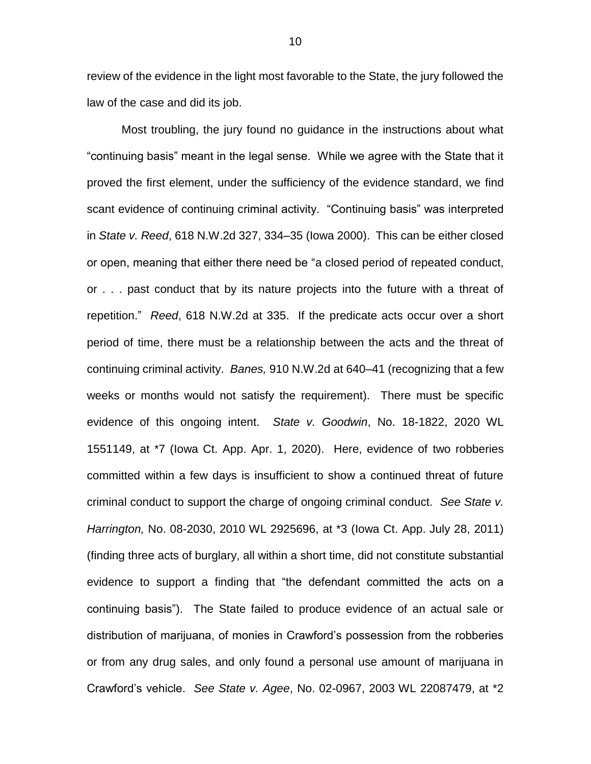review of the evidence in the light most favorable to the State, the jury followed the law of the case and did its job.

Most troubling, the jury found no guidance in the instructions about what "continuing basis" meant in the legal sense. While we agree with the State that it proved the first element, under the sufficiency of the evidence standard, we find scant evidence of continuing criminal activity. "Continuing basis" was interpreted in *State v. Reed*, 618 N.W.2d 327, 334–35 (Iowa 2000). This can be either closed or open, meaning that either there need be "a closed period of repeated conduct, or . . . past conduct that by its nature projects into the future with a threat of repetition." *Reed*, 618 N.W.2d at 335. If the predicate acts occur over a short period of time, there must be a relationship between the acts and the threat of continuing criminal activity. *Banes,* 910 N.W.2d at 640–41 (recognizing that a few weeks or months would not satisfy the requirement). There must be specific evidence of this ongoing intent. *State v. Goodwin*, No. 18-1822, 2020 WL 1551149, at \*7 (Iowa Ct. App. Apr. 1, 2020). Here, evidence of two robberies committed within a few days is insufficient to show a continued threat of future criminal conduct to support the charge of ongoing criminal conduct. *See State v. Harrington,* No. 08-2030, 2010 WL 2925696, at \*3 (Iowa Ct. App. July 28, 2011) (finding three acts of burglary, all within a short time, did not constitute substantial evidence to support a finding that "the defendant committed the acts on a continuing basis"). The State failed to produce evidence of an actual sale or distribution of marijuana, of monies in Crawford's possession from the robberies or from any drug sales, and only found a personal use amount of marijuana in Crawford's vehicle. *See State v. Agee*, No. 02-0967, 2003 WL 22087479, at \*2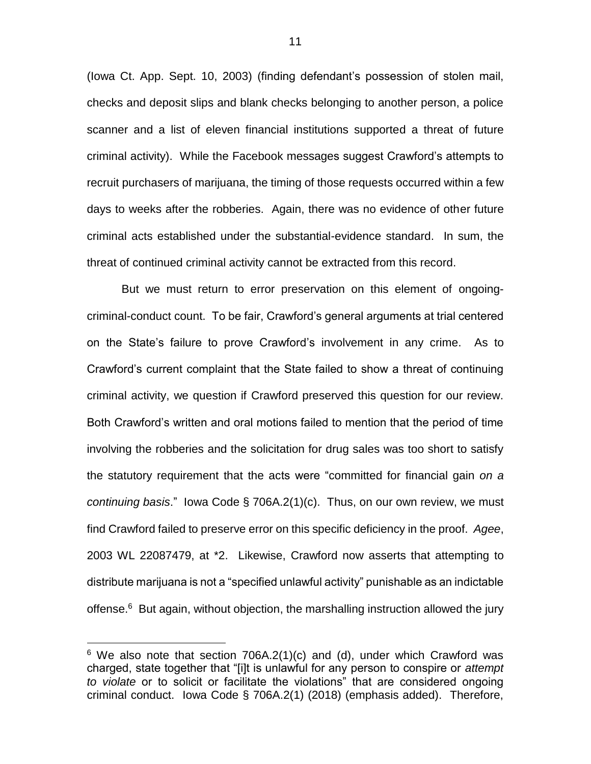(Iowa Ct. App. Sept. 10, 2003) (finding defendant's possession of stolen mail, checks and deposit slips and blank checks belonging to another person, a police scanner and a list of eleven financial institutions supported a threat of future criminal activity). While the Facebook messages suggest Crawford's attempts to recruit purchasers of marijuana, the timing of those requests occurred within a few days to weeks after the robberies. Again, there was no evidence of other future criminal acts established under the substantial-evidence standard. In sum, the threat of continued criminal activity cannot be extracted from this record.

But we must return to error preservation on this element of ongoingcriminal-conduct count. To be fair, Crawford's general arguments at trial centered on the State's failure to prove Crawford's involvement in any crime. As to Crawford's current complaint that the State failed to show a threat of continuing criminal activity, we question if Crawford preserved this question for our review. Both Crawford's written and oral motions failed to mention that the period of time involving the robberies and the solicitation for drug sales was too short to satisfy the statutory requirement that the acts were "committed for financial gain *on a continuing basis*." Iowa Code § 706A.2(1)(c). Thus, on our own review, we must find Crawford failed to preserve error on this specific deficiency in the proof. *Agee*, 2003 WL 22087479, at \*2. Likewise, Crawford now asserts that attempting to distribute marijuana is not a "specified unlawful activity" punishable as an indictable offense.<sup>6</sup> But again, without objection, the marshalling instruction allowed the jury

 $6$  We also note that section 706A.2(1)(c) and (d), under which Crawford was charged, state together that "[i]t is unlawful for any person to conspire or *attempt to violate* or to solicit or facilitate the violations" that are considered ongoing criminal conduct. Iowa Code § 706A.2(1) (2018) (emphasis added). Therefore,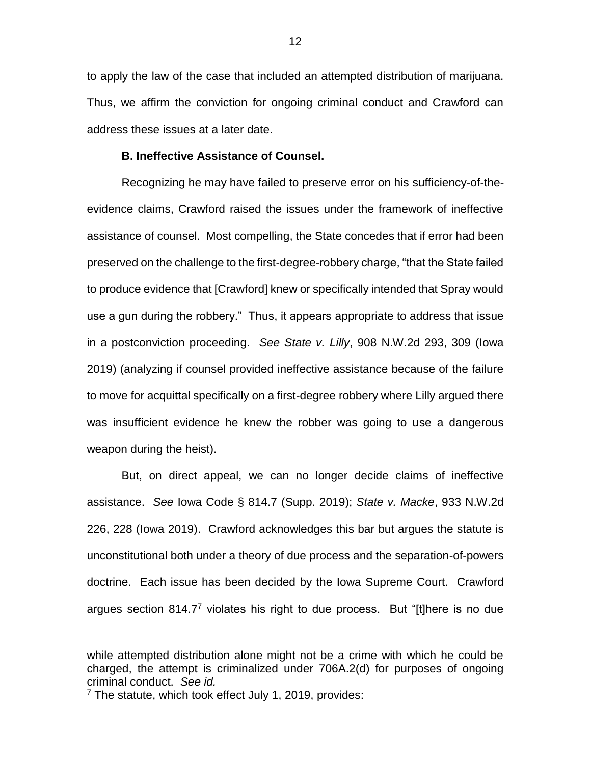to apply the law of the case that included an attempted distribution of marijuana. Thus, we affirm the conviction for ongoing criminal conduct and Crawford can address these issues at a later date.

# **B. Ineffective Assistance of Counsel.**

Recognizing he may have failed to preserve error on his sufficiency-of-theevidence claims, Crawford raised the issues under the framework of ineffective assistance of counsel. Most compelling, the State concedes that if error had been preserved on the challenge to the first-degree-robbery charge, "that the State failed to produce evidence that [Crawford] knew or specifically intended that Spray would use a gun during the robbery." Thus, it appears appropriate to address that issue in a postconviction proceeding. *See State v. Lilly*, 908 N.W.2d 293, 309 (Iowa 2019) (analyzing if counsel provided ineffective assistance because of the failure to move for acquittal specifically on a first-degree robbery where Lilly argued there was insufficient evidence he knew the robber was going to use a dangerous weapon during the heist).

But, on direct appeal, we can no longer decide claims of ineffective assistance. *See* Iowa Code § 814.7 (Supp. 2019); *State v. Macke*, 933 N.W.2d 226, 228 (Iowa 2019). Crawford acknowledges this bar but argues the statute is unconstitutional both under a theory of due process and the separation-of-powers doctrine. Each issue has been decided by the Iowa Supreme Court. Crawford argues section 814.7<sup>7</sup> violates his right to due process. But "[t]here is no due

while attempted distribution alone might not be a crime with which he could be charged, the attempt is criminalized under 706A.2(d) for purposes of ongoing criminal conduct. *See id.*

<sup>7</sup> The statute, which took effect July 1, 2019, provides: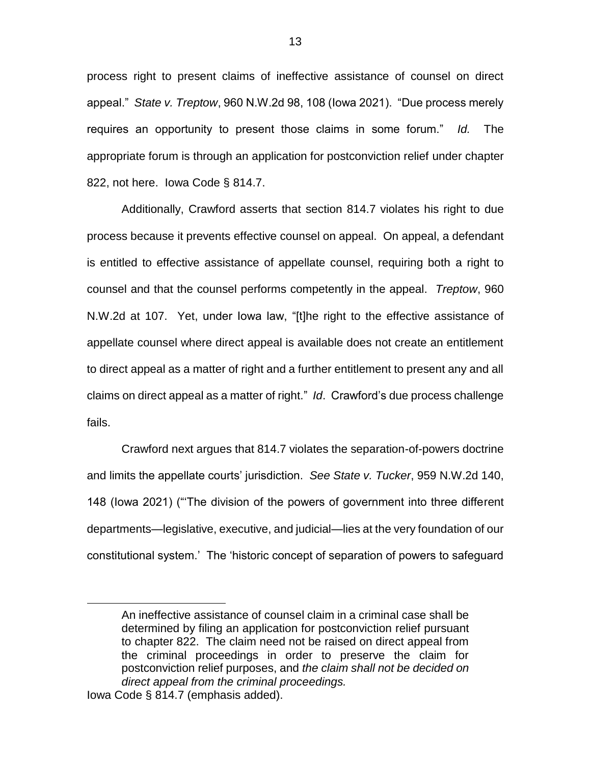process right to present claims of ineffective assistance of counsel on direct appeal." *State v. Treptow*, 960 N.W.2d 98, 108 (Iowa 2021). "Due process merely requires an opportunity to present those claims in some forum." *Id.* The appropriate forum is through an application for postconviction relief under chapter 822, not here. Iowa Code § 814.7.

Additionally, Crawford asserts that section 814.7 violates his right to due process because it prevents effective counsel on appeal. On appeal, a defendant is entitled to effective assistance of appellate counsel, requiring both a right to counsel and that the counsel performs competently in the appeal. *Treptow*, 960 N.W.2d at 107. Yet, under Iowa law, "[t]he right to the effective assistance of appellate counsel where direct appeal is available does not create an entitlement to direct appeal as a matter of right and a further entitlement to present any and all claims on direct appeal as a matter of right." *Id*. Crawford's due process challenge fails.

Crawford next argues that 814.7 violates the separation-of-powers doctrine and limits the appellate courts' jurisdiction. *See State v. Tucker*, 959 N.W.2d 140, 148 (Iowa 2021) ("'The division of the powers of government into three different departments—legislative, executive, and judicial—lies at the very foundation of our constitutional system.' The 'historic concept of separation of powers to safeguard

An ineffective assistance of counsel claim in a criminal case shall be determined by filing an application for postconviction relief pursuant to chapter 822. The claim need not be raised on direct appeal from the criminal proceedings in order to preserve the claim for postconviction relief purposes, and *the claim shall not be decided on direct appeal from the criminal proceedings.*